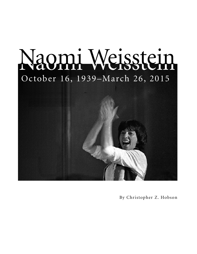

By Christopher Z. Hobson